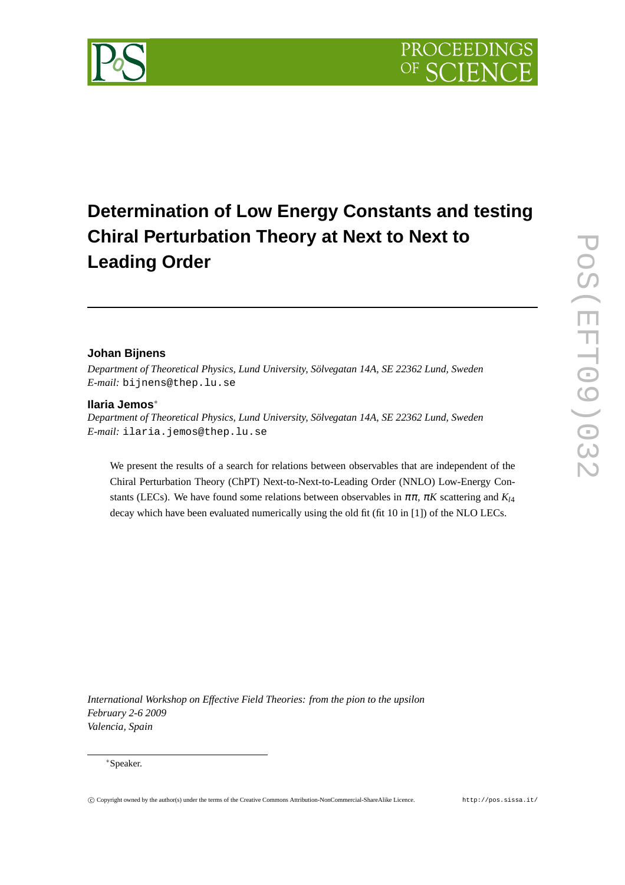# **Determination of Low Energy Constants and testing Chiral Perturbation Theory at Next to Next to Leading Order**

# **Johan Bijnens**

*Department of Theoretical Physics, Lund University, Sölvegatan 14A, SE 22362 Lund, Sweden E-mail:* bijnens@thep.lu.se

# **Ilaria Jemos**∗

*Department of Theoretical Physics, Lund University, Sölvegatan 14A, SE 22362 Lund, Sweden E-mail:* ilaria.jemos@thep.lu.se

We present the results of a search for relations between observables that are independent of the Chiral Perturbation Theory (ChPT) Next-to-Next-to-Leading Order (NNLO) Low-Energy Constants (LECs). We have found some relations between observables in  $\pi \pi$ ,  $\pi K$  scattering and  $K_{l4}$ decay which have been evaluated numerically using the old fit (fit 10 in [1]) of the NLO LECs.

*International Workshop on Effective Field Theories: from the pion to the upsilon February 2-6 2009 Valencia, Spain*

# ∗Speaker.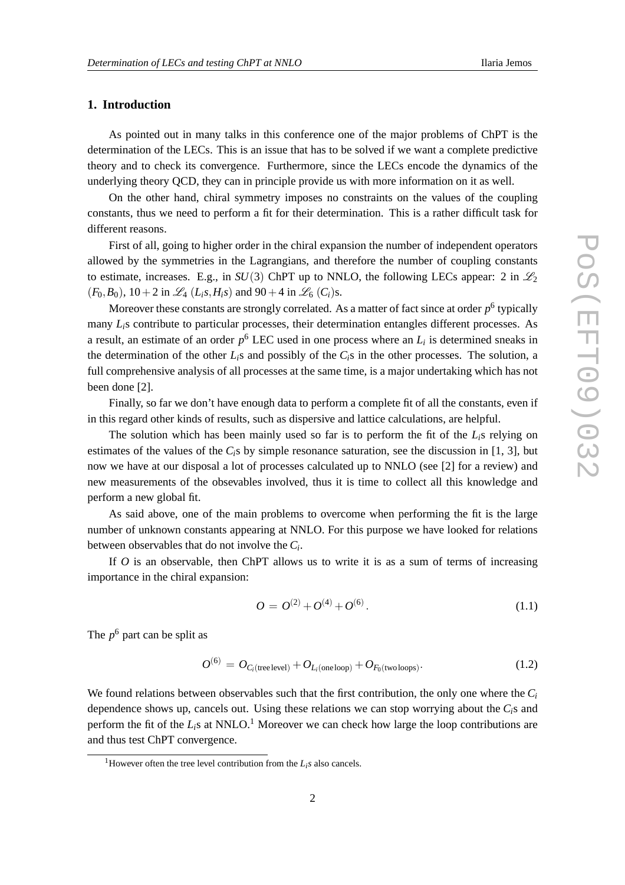# **1. Introduction**

As pointed out in many talks in this conference one of the major problems of ChPT is the determination of the LECs. This is an issue that has to be solved if we want a complete predictive theory and to check its convergence. Furthermore, since the LECs encode the dynamics of the underlying theory QCD, they can in principle provide us with more information on it as well.

On the other hand, chiral symmetry imposes no constraints on the values of the coupling constants, thus we need to perform a fit for their determination. This is a rather difficult task for different reasons.

First of all, going to higher order in the chiral expansion the number of independent operators allowed by the symmetries in the Lagrangians, and therefore the number of coupling constants to estimate, increases. E.g., in  $SU(3)$  ChPT up to NNLO, the following LECs appear: 2 in  $\mathcal{L}_2$  $(F_0, B_0)$ ,  $10 + 2$  in  $\mathcal{L}_4(L_i, H_i, S)$  and  $90 + 4$  in  $\mathcal{L}_6(C_i)$ s.

Moreover these constants are strongly correlated. As a matter of fact since at order  $p^6$  typically many *Li*s contribute to particular processes, their determination entangles different processes. As a result, an estimate of an order *p* <sup>6</sup> LEC used in one process where an *L<sup>i</sup>* is determined sneaks in the determination of the other  $L_i$ s and possibly of the  $C_i$ s in the other processes. The solution, a full comprehensive analysis of all processes at the same time, is a major undertaking which has not been done [2].

Finally, so far we don't have enough data to perform a complete fit of all the constants, even if in this regard other kinds of results, such as dispersive and lattice calculations, are helpful.

The solution which has been mainly used so far is to perform the fit of the *Li*s relying on estimates of the values of the *Ci*s by simple resonance saturation, see the discussion in [1, 3], but now we have at our disposal a lot of processes calculated up to NNLO (see [2] for a review) and new measurements of the obsevables involved, thus it is time to collect all this knowledge and perform a new global fit.

As said above, one of the main problems to overcome when performing the fit is the large number of unknown constants appearing at NNLO. For this purpose we have looked for relations between observables that do not involve the *C<sup>i</sup>* .

If *O* is an observable, then ChPT allows us to write it is as a sum of terms of increasing importance in the chiral expansion:

$$
O = O^{(2)} + O^{(4)} + O^{(6)}.
$$
\n(1.1)

The  $p^6$  part can be split as

$$
O^{(6)} = O_{C_i(\text{tree level})} + O_{L_i(\text{one loop})} + O_{F_0(\text{two loops})}.
$$
\n(1.2)

We found relations between observables such that the first contribution, the only one where the *C<sup>i</sup>* dependence shows up, cancels out. Using these relations we can stop worrying about the  $C_i$ <sup>s</sup> and perform the fit of the  $L_i$ s at NNLO.<sup>1</sup> Moreover we can check how large the loop contributions are and thus test ChPT convergence.

<sup>&</sup>lt;sup>1</sup>However often the tree level contribution from the  $L_i$ *s* also cancels.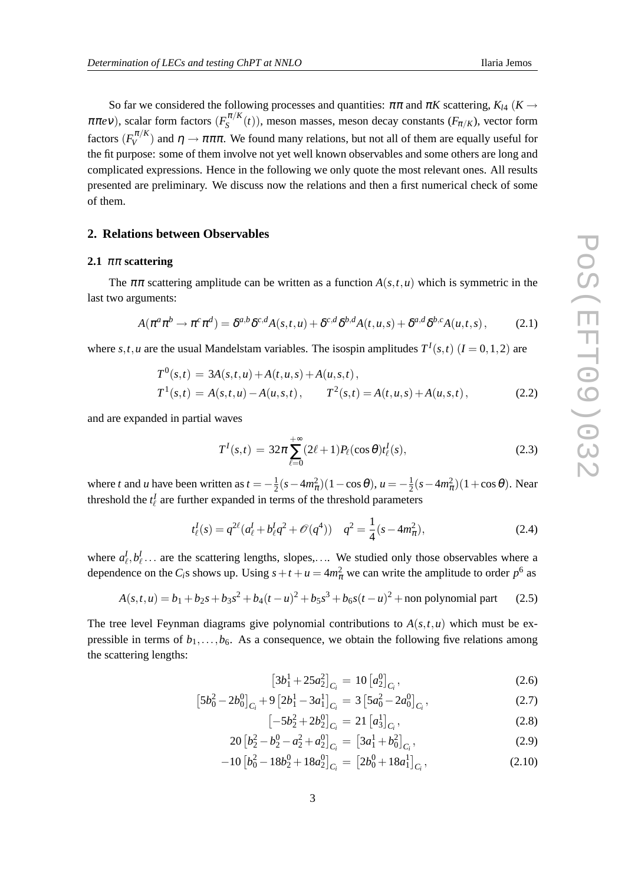So far we considered the following processes and quantities:  $\pi \pi$  and  $\pi K$  scattering,  $K_{\mu}$  ( $K \rightarrow$  $\pi \pi e \nu$ ), scalar form factors  $(F_S^{\pi/K})$  $S^{n/\kappa}(t)$ ), meson masses, meson decay constants  $(F_{\pi/K})$ , vector form factors  $(F_V^{\pi/K}$  $V_V^{\mu/\kappa}$ ) and  $\eta \to \pi \pi \pi$ . We found many relations, but not all of them are equally useful for the fit purpose: some of them involve not yet well known observables and some others are long and complicated expressions. Hence in the following we only quote the most relevant ones. All results presented are preliminary. We discuss now the relations and then a first numerical check of some of them.

### **2. Relations between Observables**

#### **2.1** ππ **scattering**

The  $\pi\pi$  scattering amplitude can be written as a function  $A(s,t,u)$  which is symmetric in the last two arguments:

$$
A(\pi^a \pi^b \to \pi^c \pi^d) = \delta^{a,b} \delta^{c,d} A(s,t,u) + \delta^{c,d} \delta^{b,d} A(t,u,s) + \delta^{a,d} \delta^{b,c} A(u,t,s), \tag{2.1}
$$

where  $s, t, u$  are the usual Mandelstam variables. The isospin amplitudes  $T^I(s,t)$   $(I = 0,1,2)$  are

$$
T^{0}(s,t) = 3A(s,t,u) + A(t,u,s) + A(u,s,t),
$$
  
\n
$$
T^{1}(s,t) = A(s,t,u) - A(u,s,t), \qquad T^{2}(s,t) = A(t,u,s) + A(u,s,t),
$$
\n(2.2)

and are expanded in partial waves

$$
T^{I}(s,t) = 32\pi \sum_{\ell=0}^{+\infty} (2\ell+1) P_{\ell}(\cos\theta) t_{\ell}^{I}(s),
$$
\n(2.3)

where *t* and *u* have been written as  $t = -\frac{1}{2}$  $\frac{1}{2}(s-4m_{\pi}^2)(1-\cos\theta), u=-\frac{1}{2}$  $\frac{1}{2}(s-4m_{\pi}^2)(1+\cos\theta)$ . Near threshold the  $t_{\ell}^I$  are further expanded in terms of the threshold parameters

$$
t_{\ell}^{I}(s) = q^{2\ell}(a_{\ell}^{I} + b_{\ell}^{I}q^{2} + \mathcal{O}(q^{4})) \quad q^{2} = \frac{1}{4}(s - 4m_{\pi}^{2}),
$$
\n(2.4)

where  $a_{\ell}^I, b_{\ell}^I$ ... are the scattering lengths, slopes,.... We studied only those observables where a dependence on the *C*<sub>*i*</sub>s shows up. Using  $s + t + u = 4m_{\pi}^2$  we can write the amplitude to order  $p^6$  as

$$
A(s,t,u) = b_1 + b_2s + b_3s^2 + b_4(t-u)^2 + b_5s^3 + b_6s(t-u)^2 + \text{non polynomial part} \tag{2.5}
$$

The tree level Feynman diagrams give polynomial contributions to  $A(s,t,u)$  which must be expressible in terms of  $b_1, \ldots, b_6$ . As a consequence, we obtain the following five relations among the scattering lengths:

$$
\left[3b_1^1 + 25a_2^2\right]_{C_i} = 10\left[a_2^0\right]_{C_i},\tag{2.6}
$$

$$
\left[5b_0^2 - 2b_0^0\right]_{C_i} + 9\left[2b_1^1 - 3a_1^1\right]_{C_i} = 3\left[5a_0^2 - 2a_0^0\right]_{C_i},\tag{2.7}
$$

$$
[-5b_2^2 + 2b_2^0]_{C_i} = 21 [a_3^1]_{C_i},
$$
\n(2.8)

$$
20 [b_2^2 - b_2^0 - a_2^2 + a_2^0]_{C_i} = [3a_1^1 + b_0^2]_{C_i},
$$
\n(2.9)

$$
-10\left[b_0^2 - 18b_2^0 + 18a_2^0\right]_{C_i} = \left[2b_0^0 + 18a_1^1\right]_{C_i},\tag{2.10}
$$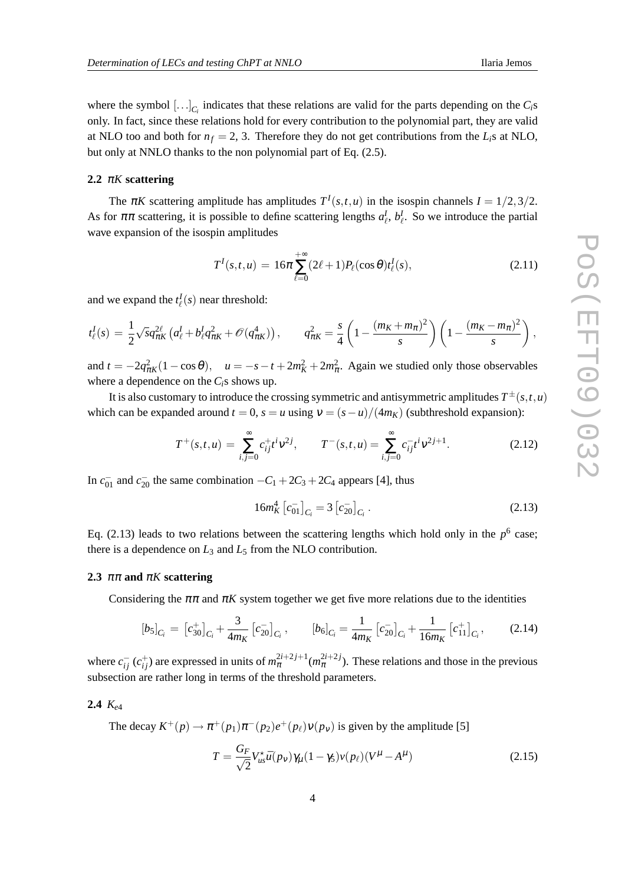where the symbol  $[\ldots]_{C_i}$  indicates that these relations are valid for the parts depending on the  $C_i$ s only. In fact, since these relations hold for every contribution to the polynomial part, they are valid at NLO too and both for  $n_f = 2$ , 3. Therefore they do not get contributions from the  $L_i$ s at NLO, but only at NNLO thanks to the non polynomial part of Eq. (2.5).

# **2.2** <sup>π</sup>*K* **scattering**

The  $\pi K$  scattering amplitude has amplitudes  $T^I(s,t,u)$  in the isospin channels  $I = 1/2,3/2$ . As for  $\pi\pi$  scattering, it is possible to define scattering lengths  $a_{\ell}^I$ ,  $b_{\ell}^I$ . So we introduce the partial wave expansion of the isospin amplitudes

$$
T^{I}(s,t,u) = 16\pi \sum_{\ell=0}^{+\infty} (2\ell+1) P_{\ell}(\cos\theta) t_{\ell}^{I}(s), \qquad (2.11)
$$

and we expand the  $t^I_{\ell}(s)$  near threshold:

$$
t_{\ell}^{I}(s) = \frac{1}{2} \sqrt{s} q_{\pi K}^{2\ell} \left( a_{\ell}^{I} + b_{\ell}^{I} q_{\pi K}^{2} + \mathcal{O}(q_{\pi K}^{4}) \right), \qquad q_{\pi K}^{2} = \frac{s}{4} \left( 1 - \frac{(m_{K} + m_{\pi})^{2}}{s} \right) \left( 1 - \frac{(m_{K} - m_{\pi})^{2}}{s} \right),
$$

and  $t = -2q_{\pi K}^2 (1 - \cos \theta)$ ,  $u = -s - t + 2m_K^2 + 2m_{\pi}^2$ . Again we studied only those observables where a dependence on the *Ci*s shows up.

It is also customary to introduce the crossing symmetric and antisymmetric amplitudes  $T^{\pm}(s,t,u)$ which can be expanded around  $t = 0$ ,  $s = u$  using  $v = (s - u)/(4m_K)$  (subthreshold expansion):

$$
T^+(s,t,u) = \sum_{i,j=0}^{\infty} c_{ij}^+ t^i v^{2j}, \qquad T^-(s,t,u) = \sum_{i,j=0}^{\infty} c_{ij}^- t^i v^{2j+1}.
$$
 (2.12)

In  $c_{01}^-$  and  $c_{20}^-$  the same combination  $-C_1 + 2C_3 + 2C_4$  appears [4], thus

$$
16m_K^4\left[c_{01}^{-}\right]_{C_i} = 3\left[c_{20}^{-}\right]_{C_i}.\tag{2.13}
$$

Eq.  $(2.13)$  leads to two relations between the scattering lengths which hold only in the  $p<sup>6</sup>$  case; there is a dependence on  $L_3$  and  $L_5$  from the NLO contribution.

#### **2.3** ππ **and** <sup>π</sup>*K* **scattering**

Considering the  $\pi\pi$  and  $\pi K$  system together we get five more relations due to the identities

$$
[b_5]_{C_i} = [c_{30}^+]_{C_i} + \frac{3}{4m_K} [c_{20}^-]_{C_i}, \qquad [b_6]_{C_i} = \frac{1}{4m_K} [c_{20}^-]_{C_i} + \frac{1}{16m_K} [c_{11}^+]_{C_i}, \qquad (2.14)
$$

where  $c_{ij}^-(c_{ij}^+)$  are expressed in units of  $m_\pi^{2i+2j+1}(m_\pi^{2i+2j})$ . These relations and those in the previous subsection are rather long in terms of the threshold parameters.

#### **2.4** *Ke*<sup>4</sup>

The decay  $K^+(p) \to \pi^+(p_1)\pi^-(p_2)e^+(p_\ell)v(p_\nu)$  is given by the amplitude [5]

$$
T = \frac{G_F}{\sqrt{2}} V_{us}^* \bar{u}(p_V) \gamma_\mu (1 - \gamma_5) v(p_\ell) (V^\mu - A^\mu)
$$
\n(2.15)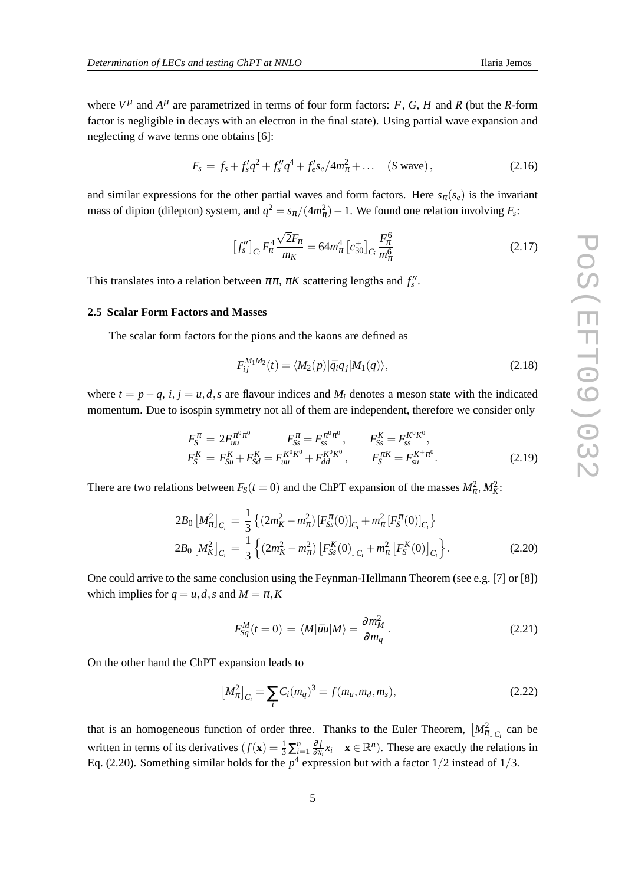where  $V^{\mu}$  and  $A^{\mu}$  are parametrized in terms of four form factors: *F*, *G*, *H* and *R* (but the *R*-form factor is negligible in decays with an electron in the final state). Using partial wave expansion and neglecting *d* wave terms one obtains [6]:

$$
F_s = f_s + f'_s q^2 + f''_s q^4 + f'_e s_e / 4m_\pi^2 + \dots \quad (S \text{ wave}), \qquad (2.16)
$$

and similar expressions for the other partial waves and form factors. Here  $s_\pi(s_e)$  is the invariant mass of dipion (dilepton) system, and  $q^2 = s_{\pi}/(4m_{\pi}^2) - 1$ . We found one relation involving  $F_s$ :

$$
\left[f_s''\right]_{C_i} F_\pi^4 \frac{\sqrt{2}F_\pi}{m_K} = 64 m_\pi^4 \left[c_{30}^+\right]_{C_i} \frac{F_\pi^6}{m_\pi^6} \tag{2.17}
$$

This translates into a relation between  $\pi \pi$ ,  $\pi K$  scattering lengths and  $f''_s$ .

#### **2.5 Scalar Form Factors and Masses**

The scalar form factors for the pions and the kaons are defined as

$$
F_{ij}^{M_1M_2}(t) = \langle M_2(p)|\bar{q}_i q_j|M_1(q)\rangle, \qquad (2.18)
$$

where  $t = p - q$ ,  $i, j = u, d, s$  are flavour indices and  $M_i$  denotes a meson state with the indicated momentum. Due to isospin symmetry not all of them are independent, therefore we consider only

$$
F_S^{\pi} = 2F_{uu}^{\pi^0 \pi^0} F_{S_s}^{\pi} = F_{ss}^{\pi^0 \pi^0}, \qquad F_{S_s}^K = F_{ss}^{K^0 K^0}, F_S^K = F_{su}^K + F_{Sd}^K = F_{uu}^{K^0 K^0} + F_{dd}^{K^0 K^0}, \qquad F_S^{\pi K} = F_{su}^{K^+ \pi^0}.
$$
 (2.19)

There are two relations between  $F_S(t=0)$  and the ChPT expansion of the masses  $M_{\pi}^2$ ,  $M_K^2$ .

$$
2B_0 \left[ M_{\pi}^2 \right]_{C_i} = \frac{1}{3} \left\{ \left( 2m_K^2 - m_{\pi}^2 \right) \left[ F_{SS}^{\pi}(0) \right]_{C_i} + m_{\pi}^2 \left[ F_S^{\pi}(0) \right]_{C_i} \right\}
$$
  
\n
$$
2B_0 \left[ M_K^2 \right]_{C_i} = \frac{1}{3} \left\{ \left( 2m_K^2 - m_{\pi}^2 \right) \left[ F_{SS}^K(0) \right]_{C_i} + m_{\pi}^2 \left[ F_S^K(0) \right]_{C_i} \right\}.
$$
\n(2.20)

One could arrive to the same conclusion using the Feynman-Hellmann Theorem (see e.g. [7] or [8]) which implies for  $q = u, d, s$  and  $M = \pi, K$ 

$$
F_{Sq}^{M}(t=0) = \langle M|\bar{u}u|M\rangle = \frac{\partial m_{M}^{2}}{\partial m_{q}}.
$$
\n(2.21)

On the other hand the ChPT expansion leads to

$$
\left[M_{\pi}^{2}\right]_{C_{i}} = \sum_{i} C_{i}(m_{q})^{3} = f(m_{u}, m_{d}, m_{s}),\tag{2.22}
$$

that is an homogeneous function of order three. Thanks to the Euler Theorem,  $\left[M_{\pi}^2\right]_{C_i}$  can be written in terms of its derivatives  $(f(\mathbf{x})) = \frac{1}{3} \sum_{i=1}^{n} \frac{\partial f}{\partial x_i}$  $\frac{\partial f}{\partial x_i} x_i$  **x** ∈ R<sup>*n*</sup>). These are exactly the relations in Eq. (2.20). Something similar holds for the  $p^4$  expression but with a factor  $1/2$  instead of  $1/3$ .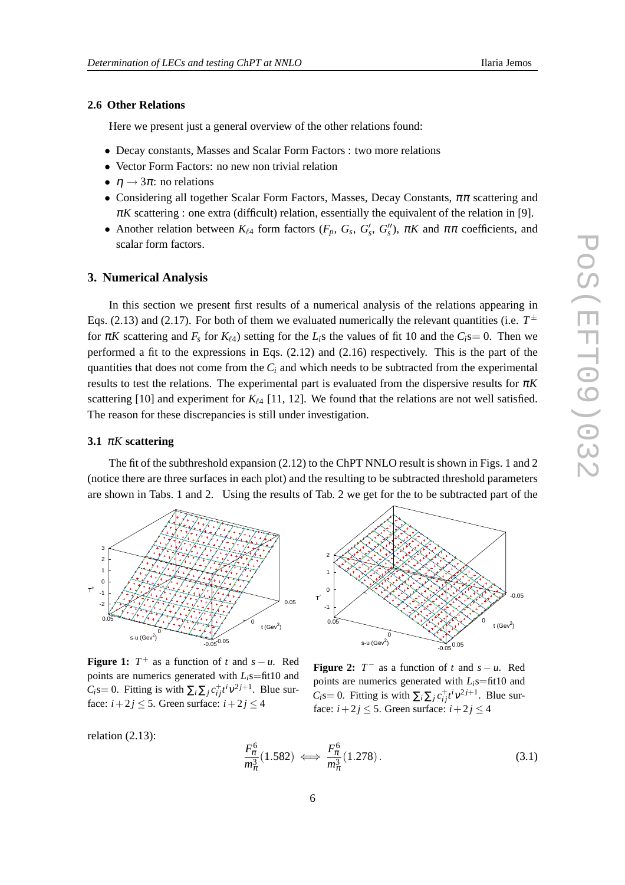# **2.6 Other Relations**

Here we present just a general overview of the other relations found:

- Decay constants, Masses and Scalar Form Factors : two more relations
- Vector Form Factors: no new non trivial relation
- $\eta \rightarrow 3\pi$ : no relations
- Considering all together Scalar Form Factors, Masses, Decay Constants,  $\pi \pi$  scattering and  $\pi K$  scattering : one extra (difficult) relation, essentially the equivalent of the relation in [9].
- Another relation between  $K_{\ell 4}$  form factors  $(F_p, G_s, G'_s, G''_s)$ ,  $\pi K$  and  $\pi \pi$  coefficients, and scalar form factors.

#### **3. Numerical Analysis**

In this section we present first results of a numerical analysis of the relations appearing in Eqs. (2.13) and (2.17). For both of them we evaluated numerically the relevant quantities (i.e.  $T^{\pm}$ for  $\pi K$  scattering and  $F_s$  for  $K_{\ell 4}$ ) setting for the  $L_i$ s the values of fit 10 and the  $C_i$ s= 0. Then we performed a fit to the expressions in Eqs. (2.12) and (2.16) respectively. This is the part of the quantities that does not come from the  $C_i$  and which needs to be subtracted from the experimental results to test the relations. The experimental part is evaluated from the dispersive results for <sup>π</sup>*K* scattering [10] and experiment for  $K_{\ell 4}$  [11, 12]. We found that the relations are not well satisfied. The reason for these discrepancies is still under investigation.

### **3.1** <sup>π</sup>*K* **scattering**

The fit of the subthreshold expansion (2.12) to the ChPT NNLO result is shown in Figs. 1 and 2 (notice there are three surfaces in each plot) and the resulting to be subtracted threshold parameters are shown in Tabs. 1 and 2. Using the results of Tab. 2 we get for the to be subtracted part of the



t (Gev $^2$ ) s-u (Gev<sup>2</sup>) -1 0 1 2 T - -0.05 0  $0.05$  0 0.05

**Figure 1:**  $T^+$  as a function of *t* and  $s - u$ . Red points are numerics generated with *Li*s=fit10 and *C*<sub>*i*</sub>s= 0. Fitting is with  $\sum_i \sum_j c_{ij}^{\dagger} t^i v^{2j+1}$ . Blue surface:  $i + 2j \leq 5$ . Green surface:  $i + 2j \leq 4$ 

**Figure 2:**  $T^-$  as a function of  $t$  and  $s - u$ . Red points are numerics generated with *Li*s=fit10 and  $C_i$ s= 0. Fitting is with  $\sum_i \sum_j c_{ij}^{\dagger} t^i v^{2j+1}$ . Blue surface:  $i + 2j \leq 5$ . Green surface:  $i + 2j \leq 4$ 

relation (2.13):

$$
\frac{F_{\pi}^6}{m_{\pi}^3}(1.582) \iff \frac{F_{\pi}^6}{m_{\pi}^3}(1.278). \tag{3.1}
$$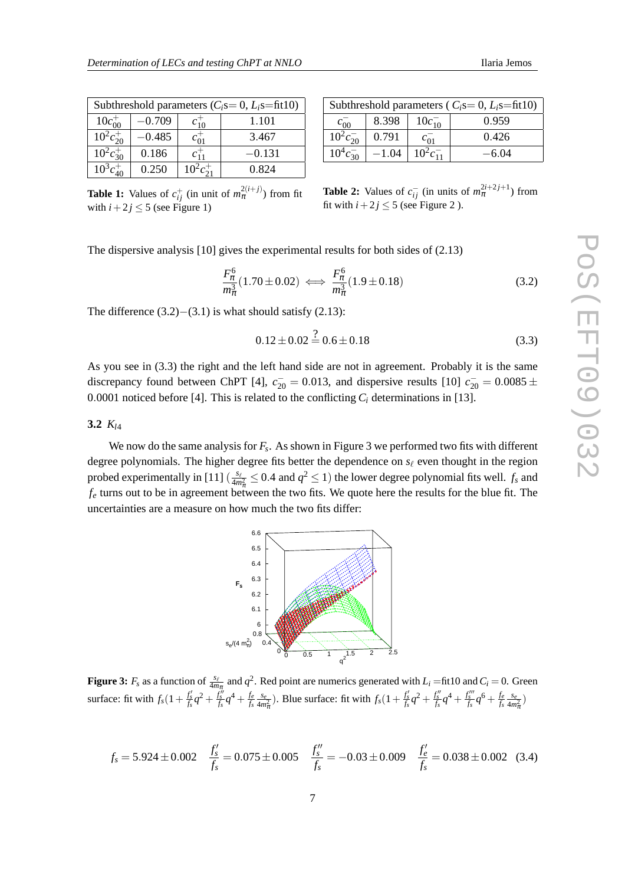| Subthreshold parameters $(C_i s = 0, L_i s = fit10)$ |          |                |          |  |
|------------------------------------------------------|----------|----------------|----------|--|
| $10c_{00}^{+}$                                       | $-0.709$ | $c_{10}^{+}$   | 1.101    |  |
| $10^2 c_{20}^+$                                      | $-0.485$ | $c_{01}^+$     | 3.467    |  |
| $10^2c_{30}^+$                                       | 0.186    | $c_{11}^+$     | $-0.131$ |  |
| $10^3c_{40}^+$                                       | 0.250    | $10^2c_{21}^+$ | 0.824    |  |

| Subthreshold parameters ( $C_i$ s=0, $L_i$ s=fit10) |         |                |         |  |  |
|-----------------------------------------------------|---------|----------------|---------|--|--|
| $c_{00}$                                            | 8.398   | $10c_{10}^-$   | 0.959   |  |  |
| $10^2c_{20}^-$                                      | 0.791   | $c_{01}$       | 0.426   |  |  |
| $10^4c_{30}^-$                                      | $-1.04$ | $10^2c_{11}^-$ | $-6.04$ |  |  |

**Table 1:** Values of  $c_{ij}^+$  (in unit of  $m_{\pi}^{2(i+j)}$ ) from fit with  $i + 2j \leq 5$  (see Figure 1)

**Table 2:** Values of  $c_{ij}^-$  (in units of  $m_{\pi}^{2i+2j+1}$ ) from fit with  $i + 2j \le 5$  (see Figure 2).

The dispersive analysis [10] gives the experimental results for both sides of (2.13)

$$
\frac{F_{\pi}^{6}}{m_{\pi}^{3}}(1.70 \pm 0.02) \iff \frac{F_{\pi}^{6}}{m_{\pi}^{3}}(1.9 \pm 0.18)
$$
\n(3.2)

The difference  $(3.2)$ − $(3.1)$  is what should satisfy  $(2.13)$ :

$$
0.12 \pm 0.02 \stackrel{?}{=} 0.6 \pm 0.18 \tag{3.3}
$$

As you see in (3.3) the right and the left hand side are not in agreement. Probably it is the same discrepancy found between ChPT [4],  $c_{20}^-$  = 0.013, and dispersive results [10]  $c_{20}^-$  = 0.0085  $\pm$ 0.0001 noticed before [4]. This is related to the conflicting  $C_i$  determinations in [13].

# **3.2** *Kl*<sup>4</sup>

We now do the same analysis for *F<sup>s</sup>* . As shown in Figure 3 we performed two fits with different degree polynomials. The higher degree fits better the dependence on *s*<sup>ℓ</sup> even thought in the region probed experimentally in [11]  $\left(\frac{s_\ell}{4m_\pi^2}\leq 0.4 \text{ and } q^2 \leq 1\right)$  the lower degree polynomial fits well.  $f_s$  and  $f_e$  turns out to be in agreement between the two fits. We quote here the results for the blue fit. The uncertainties are a measure on how much the two fits differ:



**Figure 3:**  $F_s$  as a function of  $\frac{s_\ell}{4m_\pi}$  and  $q^2$ . Red point are numerics generated with  $L_i = \text{fit10}$  and  $C_i = 0$ . Green surface: fit with  $f_s(1 + \frac{f'_s}{f_s}q^2 + \frac{f''_s}{f_s}q^4 + \frac{f_e}{f_s}q^5)$  $\frac{f_e}{f_s} \frac{s_e}{4m_{\pi}^2}$ ). Blue surface: fit with  $f_s(1 + \frac{f'_s}{f_s}q^2 + \frac{f''_s}{f_s}q^4 + \frac{f''''_s}{f_s}q^6 + \frac{f_e}{f_s}q^5)$  $\frac{f_e}{f_s}\frac{s_e}{4m_\pi^2}\Big)$ 

$$
f_s = 5.924 \pm 0.002 \quad \frac{f'_s}{f_s} = 0.075 \pm 0.005 \quad \frac{f''_s}{f_s} = -0.03 \pm 0.009 \quad \frac{f'_e}{f_s} = 0.038 \pm 0.002 \quad (3.4)
$$